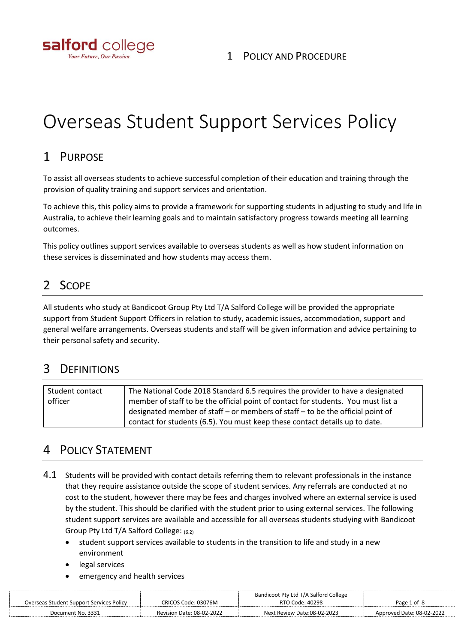

# Overseas Student Support Services Policy

## 1 PURPOSE

To assist all overseas students to achieve successful completion of their education and training through the provision of quality training and support services and orientation.

To achieve this, this policy aims to provide a framework for supporting students in adjusting to study and life in Australia, to achieve their learning goals and to maintain satisfactory progress towards meeting all learning outcomes.

This policy outlines support services available to overseas students as well as how student information on these services is disseminated and how students may access them.

# 2 SCOPE

All students who study at Bandicoot Group Pty Ltd T/A Salford College will be provided the appropriate support from Student Support Officers in relation to study, academic issues, accommodation, support and general welfare arrangements. Overseas students and staff will be given information and advice pertaining to their personal safety and security.

## 3 DEFINITIONS

| Student contact | The National Code 2018 Standard 6.5 requires the provider to have a designated    |
|-----------------|-----------------------------------------------------------------------------------|
| officer         | member of staff to be the official point of contact for students. You must list a |
|                 | designated member of staff – or members of staff – to be the official point of    |
|                 | contact for students (6.5). You must keep these contact details up to date.       |

## 4 POLICY STATEMENT

- 4.1 Students will be provided with contact details referring them to relevant professionals in the instance that they require assistance outside the scope of student services. Any referrals are conducted at no cost to the student, however there may be fees and charges involved where an external service is used by the student. This should be clarified with the student prior to using external services. The following student support services are available and accessible for all overseas students studying with Bandicoot Group Pty Ltd T/A Salford College: (6.2)
	- student support services available to students in the transition to life and study in a new environment
	- legal services
	- emergency and health services

|                                          |                                  | Bandicoot Pty Ltd T/A Salford College |                           |
|------------------------------------------|----------------------------------|---------------------------------------|---------------------------|
| Overseas Student Support Services Policy | CRICOS Code: 03076M              | RTO Code: 40298                       | Page 1 of 8               |
| Document No. 3331                        | <b>Revision Date: 08-02-2022</b> | Next Review Date:08-02-2023           | Approved Date: 08-02-2022 |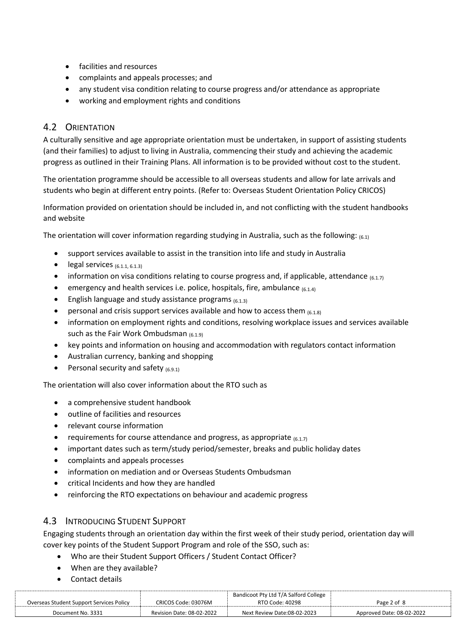- facilities and resources
- complaints and appeals processes; and
- any student visa condition relating to course progress and/or attendance as appropriate
- working and employment rights and conditions

#### 4.2 ORIENTATION

A culturally sensitive and age appropriate orientation must be undertaken, in support of assisting students (and their families) to adjust to living in Australia, commencing their study and achieving the academic progress as outlined in their Training Plans. All information is to be provided without cost to the student.

The orientation programme should be accessible to all overseas students and allow for late arrivals and students who begin at different entry points. (Refer to: Overseas Student Orientation Policy CRICOS)

Information provided on orientation should be included in, and not conflicting with the student handbooks and website

The orientation will cover information regarding studying in Australia, such as the following:  $_{(6,1)}$ 

- support services available to assist in the transition into life and study in Australia
- legal services  $(6.1.1, 6.1.3)$
- information on visa conditions relating to course progress and, if applicable, attendance  $(6.1.7)$
- emergency and health services i.e. police, hospitals, fire, ambulance  $(6.1.4)$
- English language and study assistance programs  $(6.1.3)$
- personal and crisis support services available and how to access them  $(6.1.8)$
- information on employment rights and conditions, resolving workplace issues and services available such as the Fair Work Ombudsman (6.1.9)
- key points and information on housing and accommodation with regulators contact information
- Australian currency, banking and shopping
- Personal security and safety  $(6.9.1)$

The orientation will also cover information about the RTO such as

- a comprehensive student handbook
- outline of facilities and resources
- relevant course information
- requirements for course attendance and progress, as appropriate  $(6.1.7)$
- important dates such as term/study period/semester, breaks and public holiday dates
- complaints and appeals processes
- information on mediation and or Overseas Students Ombudsman
- critical Incidents and how they are handled
- reinforcing the RTO expectations on behaviour and academic progress

#### 4.3 INTRODUCING STUDENT SUPPORT

Engaging students through an orientation day within the first week of their study period, orientation day will cover key points of the Student Support Program and role of the SSO, such as:

- Who are their Student Support Officers / Student Contact Officer?
- When are they available?
- Contact details

|                                          |                                  | Bandicoot Pty Ltd T/A Salford College |                           |
|------------------------------------------|----------------------------------|---------------------------------------|---------------------------|
| Overseas Student Support Services Policy | CRICOS Code: 03076M              | RTO Code: 40298                       | Page 2 of 8               |
| Document No. 3331                        | <b>Revision Date: 08-02-2022</b> | Next Review Date:08-02-2023           | Approved Date: 08-02-2022 |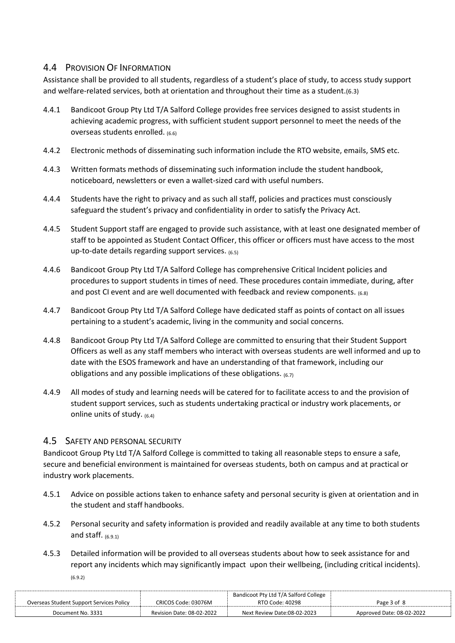#### 4.4 PROVISION OF INFORMATION

Assistance shall be provided to all students, regardless of a student's place of study, to access study support and welfare-related services, both at orientation and throughout their time as a student.(6.3)

- 4.4.1 Bandicoot Group Pty Ltd T/A Salford College provides free services designed to assist students in achieving academic progress, with sufficient student support personnel to meet the needs of the overseas students enrolled. (6.6)
- 4.4.2 Electronic methods of disseminating such information include the RTO website, emails, SMS etc.
- 4.4.3 Written formats methods of disseminating such information include the student handbook, noticeboard, newsletters or even a wallet-sized card with useful numbers.
- 4.4.4 Students have the right to privacy and as such all staff, policies and practices must consciously safeguard the student's privacy and confidentiality in order to satisfy the Privacy Act.
- 4.4.5 Student Support staff are engaged to provide such assistance, with at least one designated member of staff to be appointed as Student Contact Officer, this officer or officers must have access to the most up-to-date details regarding support services.  $(6.5)$
- 4.4.6 Bandicoot Group Pty Ltd T/A Salford College has comprehensive Critical Incident policies and procedures to support students in times of need. These procedures contain immediate, during, after and post CI event and are well documented with feedback and review components.  $_{(6.8)}$
- 4.4.7 Bandicoot Group Pty Ltd T/A Salford College have dedicated staff as points of contact on all issues pertaining to a student's academic, living in the community and social concerns.
- 4.4.8 Bandicoot Group Pty Ltd T/A Salford College are committed to ensuring that their Student Support Officers as well as any staff members who interact with overseas students are well informed and up to date with the ESOS framework and have an understanding of that framework, including our obligations and any possible implications of these obligations.  $(6.7)$
- 4.4.9 All modes of study and learning needs will be catered for to facilitate access to and the provision of student support services, such as students undertaking practical or industry work placements, or online units of study. (6.4)

#### 4.5 SAFETY AND PERSONAL SECURITY

Bandicoot Group Pty Ltd T/A Salford College is committed to taking all reasonable steps to ensure a safe, secure and beneficial environment is maintained for overseas students, both on campus and at practical or industry work placements.

- 4.5.1 Advice on possible actions taken to enhance safety and personal security is given at orientation and in the student and staff handbooks.
- 4.5.2 Personal security and safety information is provided and readily available at any time to both students and staff.  $(6.9.1)$
- 4.5.3 Detailed information will be provided to all overseas students about how to seek assistance for and report any incidents which may significantly impact upon their wellbeing, (including critical incidents). (6.9.2)

| Overseas Student Support Services Policy | CRICOS Code: 03076M       | Bandicoot Pty Ltd T/A Salford College<br>RTO Code: 40298 | Page 3 of 8               |
|------------------------------------------|---------------------------|----------------------------------------------------------|---------------------------|
| Document No. 3331                        | Revision Date: 08-02-2022 | Next Review Date:08-02-2023                              | Approved Date: 08-02-2022 |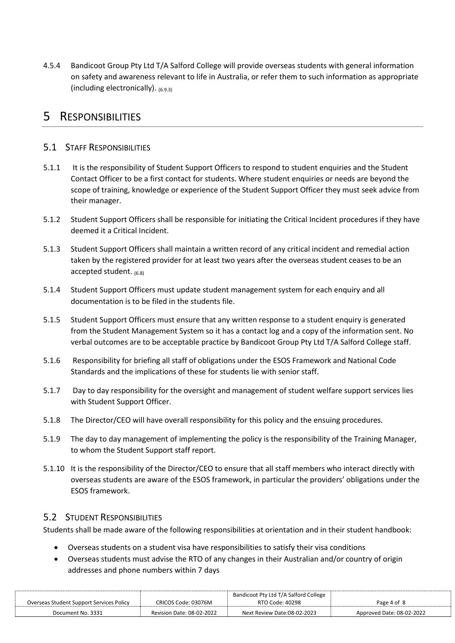4.5.4 Bandicoot Group Pty Ltd T/A Salford College will provide overseas students with general information on safety and awareness relevant to life in Australia, or refer them to such information as appropriate (including electronically). (6.9.3)

## 5 RESPONSIBILITIES

#### 5.1 STAFF RESPONSIBILITIES

- 5.1.1 It is the responsibility of Student Support Officers to respond to student enquiries and the Student Contact Officer to be a first contact for students. Where student enquiries or needs are beyond the scope of training, knowledge or experience of the Student Support Officer they must seek advice from their manager.
- 5.1.2 Student Support Officers shall be responsible for initiating the Critical Incident procedures if they have deemed it a Critical Incident.
- 5.1.3 Student Support Officers shall maintain a written record of any critical incident and remedial action taken by the registered provider for at least two years after the overseas student ceases to be an accepted student. (6.8)
- 5.1.4 Student Support Officers must update student management system for each enquiry and all documentation is to be filed in the students file.
- 5.1.5 Student Support Officers must ensure that any written response to a student enquiry is generated from the Student Management System so it has a contact log and a copy of the information sent. No verbal outcomes are to be acceptable practice by Bandicoot Group Pty Ltd T/A Salford College staff.
- 5.1.6 Responsibility for briefing all staff of obligations under the ESOS Framework and National Code Standards and the implications of these for students lie with senior staff.
- 5.1.7 Day to day responsibility for the oversight and management of student welfare support services lies with Student Support Officer.
- 5.1.8 The Director/CEO will have overall responsibility for this policy and the ensuing procedures.
- 5.1.9 The day to day management of implementing the policy is the responsibility of the Training Manager, to whom the Student Support staff report.
- 5.1.10 It is the responsibility of the Director/CEO to ensure that all staff members who interact directly with overseas students are aware of the ESOS framework, in particular the providers' obligations under the ESOS framework.

#### 5.2 STUDENT RESPONSIBILITIES

Students shall be made aware of the following responsibilities at orientation and in their student handbook:

- Overseas students on a student visa have responsibilities to satisfy their visa conditions
- Overseas students must advise the RTO of any changes in their Australian and/or country of origin addresses and phone numbers within 7 days

| Overseas Student Support Services Policy | CRICOS Code: 03076M       | Bandicoot Pty Ltd T/A Salford College<br>RTO Code: 40298 | Page 4 of 8               |
|------------------------------------------|---------------------------|----------------------------------------------------------|---------------------------|
| Document No. 3331                        | Revision Date: 08-02-2022 | Next Review Date:08-02-2023                              | Approved Date: 08-02-2022 |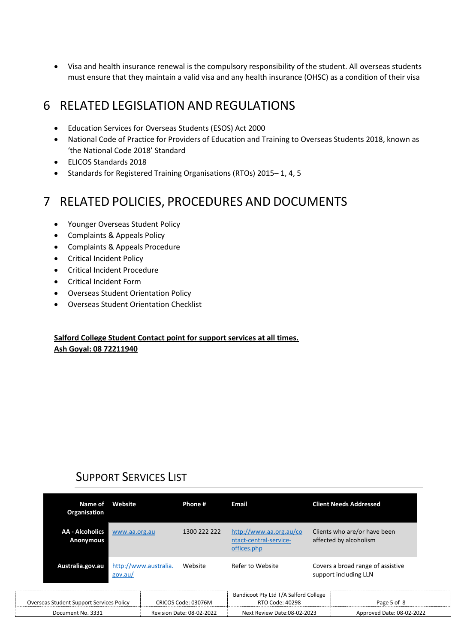• Visa and health insurance renewal is the compulsory responsibility of the student. All overseas students must ensure that they maintain a valid visa and any health insurance (OHSC) as a condition of their visa

## 6 RELATED LEGISLATION AND REGULATIONS

- Education Services for Overseas Students (ESOS) Act 2000
- National Code of Practice for Providers of Education and Training to Overseas Students 2018, known as 'the National Code 2018' Standard
- ELICOS Standards 2018
- Standards for Registered Training Organisations (RTOs) 2015– 1, 4, 5

# 7 RELATED POLICIES, PROCEDURES AND DOCUMENTS

- Younger Overseas Student Policy
- Complaints & Appeals Policy
- Complaints & Appeals Procedure
- Critical Incident Policy
- Critical Incident Procedure
- Critical Incident Form
- Overseas Student Orientation Policy
- Overseas Student Orientation Checklist

#### **Salford College Student Contact point for support services at all times. Ash Goyal: 08 72211940**

## SUPPORT SERVICES LIST

| Name of<br>Organisation                         | Website                          | Phone #                   | Email                                                            | <b>Client Needs Addressed</b>                              |
|-------------------------------------------------|----------------------------------|---------------------------|------------------------------------------------------------------|------------------------------------------------------------|
| <b>AA - Alcoholics</b><br>Anonymous             | www.aa.org.au                    | 1300 222 222              | http://www.aa.org.au/co<br>ntact-central-service-<br>offices.php | Clients who are/or have been<br>affected by alcoholism     |
| Australia.gov.au                                | http://www.australia.<br>gov.au/ | Website                   | Refer to Website                                                 | Covers a broad range of assistive<br>support including LLN |
| <b>Overseas Student Support Services Policy</b> |                                  | CRICOS Code: 03076M       | Bandicoot Pty Ltd T/A Salford College<br>RTO Code: 40298         | Page 5 of 8                                                |
| Document No. 3331                               |                                  | Revision Date: 08-02-2022 | Next Review Date:08-02-2023                                      | Approved Date: 08-02-2022                                  |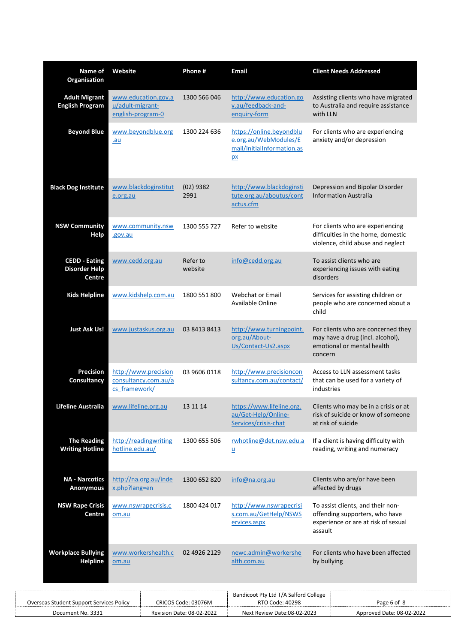| Name of<br>Organisation                                       | Website                               |                                              | Phone #                   | <b>Email</b>                                                                          |             | <b>Client Needs Addressed</b>                                                                               |
|---------------------------------------------------------------|---------------------------------------|----------------------------------------------|---------------------------|---------------------------------------------------------------------------------------|-------------|-------------------------------------------------------------------------------------------------------------|
| <b>Adult Migrant</b><br><b>English Program</b>                | u/adult-migrant-<br>english-program-0 | www.education.gov.a                          | 1300 566 046              | http://www.education.go<br>v.au/feedback-and-<br>enquiry-form                         | with LLN    | Assisting clients who have migrated<br>to Australia and require assistance                                  |
| <b>Beyond Blue</b>                                            | .au                                   | www.beyondblue.org                           | 1300 224 636              | https://online.beyondblu<br>e.org.au/WebModules/E<br>mail/InitialInformation.as<br>px |             | For clients who are experiencing<br>anxiety and/or depression                                               |
| <b>Black Dog Institute</b>                                    | e.org.au                              | www.blackdoginstitut                         | $(02)$ 9382<br>2991       | http://www.blackdoginsti<br>tute.org.au/aboutus/cont<br>actus.cfm                     |             | Depression and Bipolar Disorder<br><b>Information Australia</b>                                             |
| <b>NSW Community</b><br>Help                                  | .gov.au                               | www.community.nsw                            | 1300 555 727              | Refer to website                                                                      |             | For clients who are experiencing<br>difficulties in the home, domestic<br>violence, child abuse and neglect |
| <b>CEDD - Eating</b><br><b>Disorder Help</b><br><b>Centre</b> | www.cedd.org.au                       |                                              | Refer to<br>website       | info@cedd.org.au                                                                      | disorders   | To assist clients who are<br>experiencing issues with eating                                                |
| <b>Kids Helpline</b>                                          |                                       | www.kidshelp.com.au                          | 1800 551 800              | <b>Webchat or Email</b><br>Available Online                                           | child       | Services for assisting children or<br>people who are concerned about a                                      |
| <b>Just Ask Us!</b>                                           |                                       | www.justaskus.org.au                         | 03 8413 8413              | http://www.turningpoint.<br>org.au/About-<br>Us/Contact-Us2.aspx                      | concern     | For clients who are concerned they<br>may have a drug (incl. alcohol),<br>emotional or mental health        |
| <b>Precision</b><br>Consultancy                               | cs framework/                         | http://www.precision<br>consultancy.com.au/a | 03 9606 0118              | http://www.precisioncon<br>sultancy.com.au/contact/                                   | industries  | Access to LLN assessment tasks<br>that can be used for a variety of                                         |
| Lifeline Australia                                            | www.lifeline.org.au                   |                                              | 13 11 14                  | https://www.lifeline.org.<br>au/Get-Help/Online-<br>Services/crisis-chat              |             | Clients who may be in a crisis or at<br>risk of suicide or know of someone<br>at risk of suicide            |
| <b>The Reading</b><br><b>Writing Hotline</b>                  | hotline.edu.au/                       | http://readingwriting                        | 1300 655 506              | rwhotline@det.nsw.edu.a<br>$\underline{\mathsf{u}}$                                   |             | If a client is having difficulty with<br>reading, writing and numeracy                                      |
| <b>NA - Narcotics</b><br>Anonymous                            | x.php?lang=en                         | http://na.org.au/inde                        | 1300 652 820              | info@na.org.au                                                                        |             | Clients who are/or have been<br>affected by drugs                                                           |
| <b>NSW Rape Crisis</b><br>Centre                              | om.au                                 | www.nswrapecrisis.c                          | 1800 424 017              | http://www.nswrapecrisi<br>s.com.au/GetHelp/NSWS<br>ervices.aspx                      | assault     | To assist clients, and their non-<br>offending supporters, who have<br>experience or are at risk of sexual  |
| <b>Workplace Bullying</b><br><b>Helpline</b>                  | om.au                                 | www.workershealth.c                          | 02 4926 2129              | newc.admin@workershe<br>alth.com.au                                                   | by bullying | For clients who have been affected                                                                          |
| Overseas Student Support Services Policy                      |                                       |                                              | CRICOS Code: 03076M       | Bandicoot Pty Ltd T/A Salford College<br>RTO Code: 40298                              |             | Page 6 of 8                                                                                                 |
| Document No. 3331                                             |                                       |                                              | Revision Date: 08-02-2022 | Next Review Date:08-02-2023                                                           |             | Approved Date: 08-02-2022                                                                                   |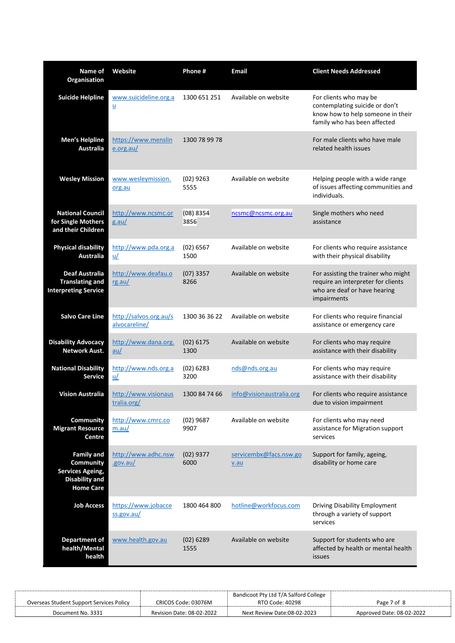| Name of<br>Organisation                                                                                       | Website                                           | Phone #             | <b>Email</b>                      | <b>Client Needs Addressed</b>                                                                                                 |
|---------------------------------------------------------------------------------------------------------------|---------------------------------------------------|---------------------|-----------------------------------|-------------------------------------------------------------------------------------------------------------------------------|
| <b>Suicide Helpline</b>                                                                                       | www.suicideline.org.a<br>$\underline{\mathsf{u}}$ | 1300 651 251        | Available on website              | For clients who may be<br>contemplating suicide or don't<br>know how to help someone in their<br>family who has been affected |
| Men's Helpline<br><b>Australia</b>                                                                            | https://www.menslin<br>e.org.au/                  | 1300 78 99 78       |                                   | For male clients who have male<br>related health issues                                                                       |
| <b>Wesley Mission</b>                                                                                         | www.wesleymission.<br>org.au                      | $(02)$ 9263<br>5555 | Available on website              | Helping people with a wide range<br>of issues affecting communities and<br>individuals.                                       |
| <b>National Council</b><br>for Single Mothers<br>and their Children                                           | http://www.ncsmc.or<br>$g$ .au/                   | (08) 8354<br>3856   | ncsmc@ncsmc.org.au                | Single mothers who need<br>assistance                                                                                         |
| <b>Physical disability</b><br><b>Australia</b>                                                                | http://www.pda.org.a<br>$u$                       | (02) 6567<br>1500   | Available on website              | For clients who require assistance<br>with their physical disability                                                          |
| <b>Deaf Australia</b><br><b>Translating and</b><br><b>Interpreting Service</b>                                | http://www.deafau.o<br>rg.au/                     | $(07)$ 3357<br>8266 | Available on website              | For assisting the trainer who might<br>require an interpreter for clients<br>who are deaf or have hearing<br>impairments      |
| <b>Salvo Care Line</b>                                                                                        | http://salvos.org.au/s<br>alvocareline/           | 1300 36 36 22       | Available on website              | For clients who require financial<br>assistance or emergency care                                                             |
| <b>Disability Advocacy</b><br><b>Network Aust.</b>                                                            | http://www.dana.org.<br>$au/$                     | $(02)$ 6175<br>1300 | Available on website              | For clients who may require<br>assistance with their disability                                                               |
| <b>National Disability</b><br><b>Service</b>                                                                  | http://www.nds.org.a<br>$\underline{u}/$          | $(02)$ 6283<br>3200 | nds@nds.org.au                    | For clients who may require<br>assistance with their disability                                                               |
| <b>Vision Australia</b>                                                                                       | http://www.visionaus<br>tralia.org/               | 1300 84 74 66       | info@visionaustralia.org          | For clients who require assistance<br>due to vision impairment                                                                |
| Community<br><b>Migrant Resource</b><br>Centre                                                                | http://www.cmrc.co<br>m.au/                       | $(02)$ 9687<br>9907 | Available on website              | For clients who may need<br>assistance for Migration support<br>services                                                      |
| <b>Family and</b><br><b>Community</b><br><b>Services Ageing,</b><br><b>Disability and</b><br><b>Home Care</b> | http://www.adhc.nsw<br>.gov.au/                   | $(02)$ 9377<br>6000 | servicembx@facs.nsw.go<br>$v$ .au | Support for family, ageing,<br>disability or home care                                                                        |
| <b>Job Access</b>                                                                                             | https://www.jobacce<br>ss.gov.au/                 | 1800 464 800        | hotline@workfocus.com             | <b>Driving Disability Employment</b><br>through a variety of support<br>services                                              |
| <b>Department of</b><br>health/Mental<br>health                                                               | www.health.gov.au                                 | $(02)$ 6289<br>1555 | Available on website              | Support for students who are<br>affected by health or mental health<br>issues                                                 |

|                                                 |                           | Bandicoot Pty Ltd T/A Salford College |                           |
|-------------------------------------------------|---------------------------|---------------------------------------|---------------------------|
| <b>Overseas Student Support Services Policy</b> | CRICOS Code: 03076M       | RTO Code: 40298                       | Page 7 of 8               |
| Document No. 3331                               | Revision Date: 08-02-2022 | Next Review Date:08-02-2023           | Approved Date: 08-02-2022 |